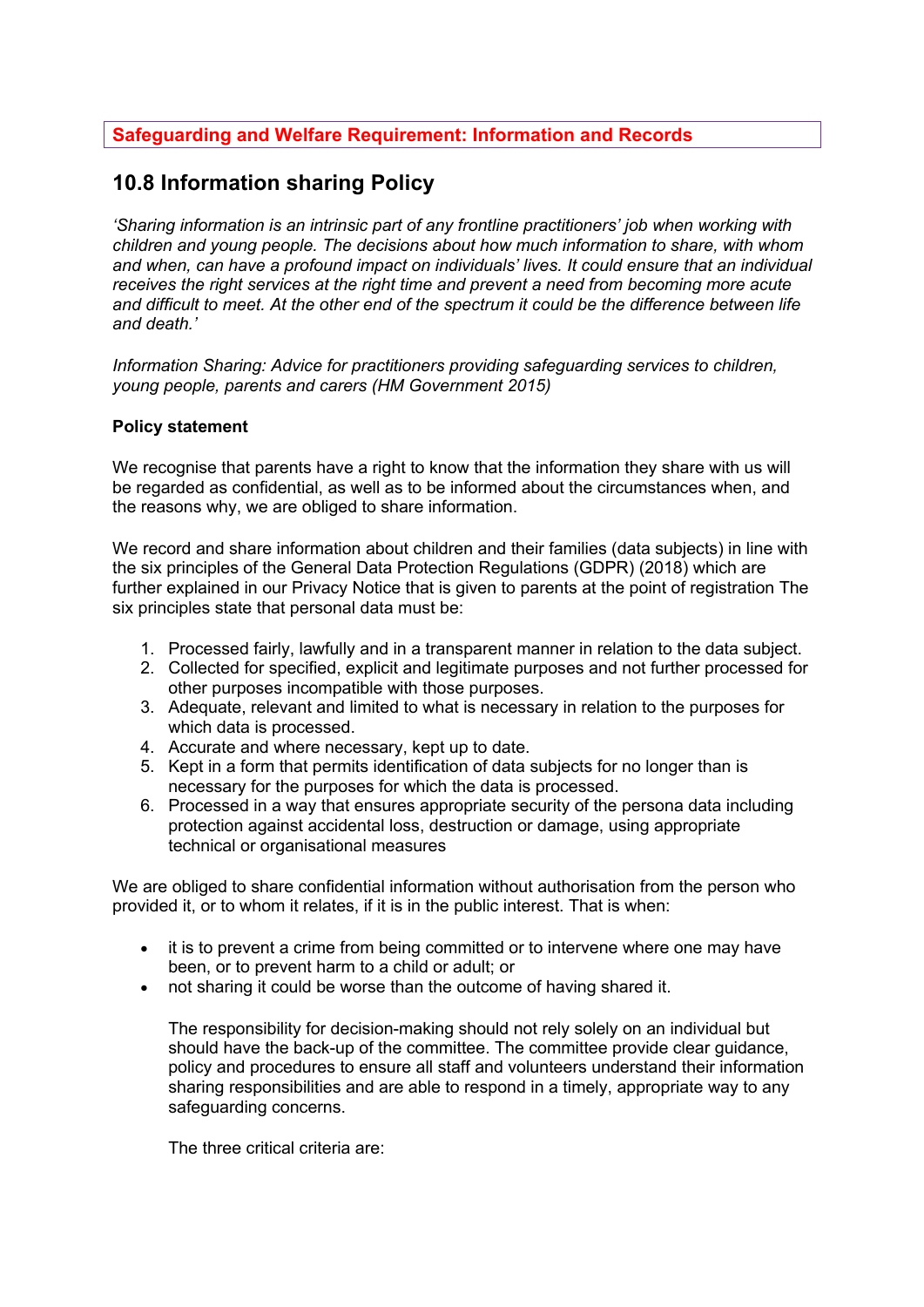## **Safeguarding and Welfare Requirement: Information and Records**

# **10.8 Information sharing Policy**

*'Sharing information is an intrinsic part of any frontline practitioners' job when working with children and young people. The decisions about how much information to share, with whom and when, can have a profound impact on individuals' lives. It could ensure that an individual receives the right services at the right time and prevent a need from becoming more acute and difficult to meet. At the other end of the spectrum it could be the difference between life and death.'* 

*Information Sharing: Advice for practitioners providing safeguarding services to children, young people, parents and carers (HM Government 2015)* 

## **Policy statement**

We recognise that parents have a right to know that the information they share with us will be regarded as confidential, as well as to be informed about the circumstances when, and the reasons why, we are obliged to share information.

We record and share information about children and their families (data subjects) in line with the six principles of the General Data Protection Regulations (GDPR) (2018) which are further explained in our Privacy Notice that is given to parents at the point of registration The six principles state that personal data must be:

- 1. Processed fairly, lawfully and in a transparent manner in relation to the data subject.
- 2. Collected for specified, explicit and legitimate purposes and not further processed for other purposes incompatible with those purposes.
- 3. Adequate, relevant and limited to what is necessary in relation to the purposes for which data is processed.
- 4. Accurate and where necessary, kept up to date.
- 5. Kept in a form that permits identification of data subjects for no longer than is necessary for the purposes for which the data is processed.
- 6. Processed in a way that ensures appropriate security of the persona data including protection against accidental loss, destruction or damage, using appropriate technical or organisational measures

We are obliged to share confidential information without authorisation from the person who provided it, or to whom it relates, if it is in the public interest. That is when:

- it is to prevent a crime from being committed or to intervene where one may have been, or to prevent harm to a child or adult; or
- not sharing it could be worse than the outcome of having shared it.

The responsibility for decision-making should not rely solely on an individual but should have the back-up of the committee. The committee provide clear guidance, policy and procedures to ensure all staff and volunteers understand their information sharing responsibilities and are able to respond in a timely, appropriate way to any safeguarding concerns.

The three critical criteria are: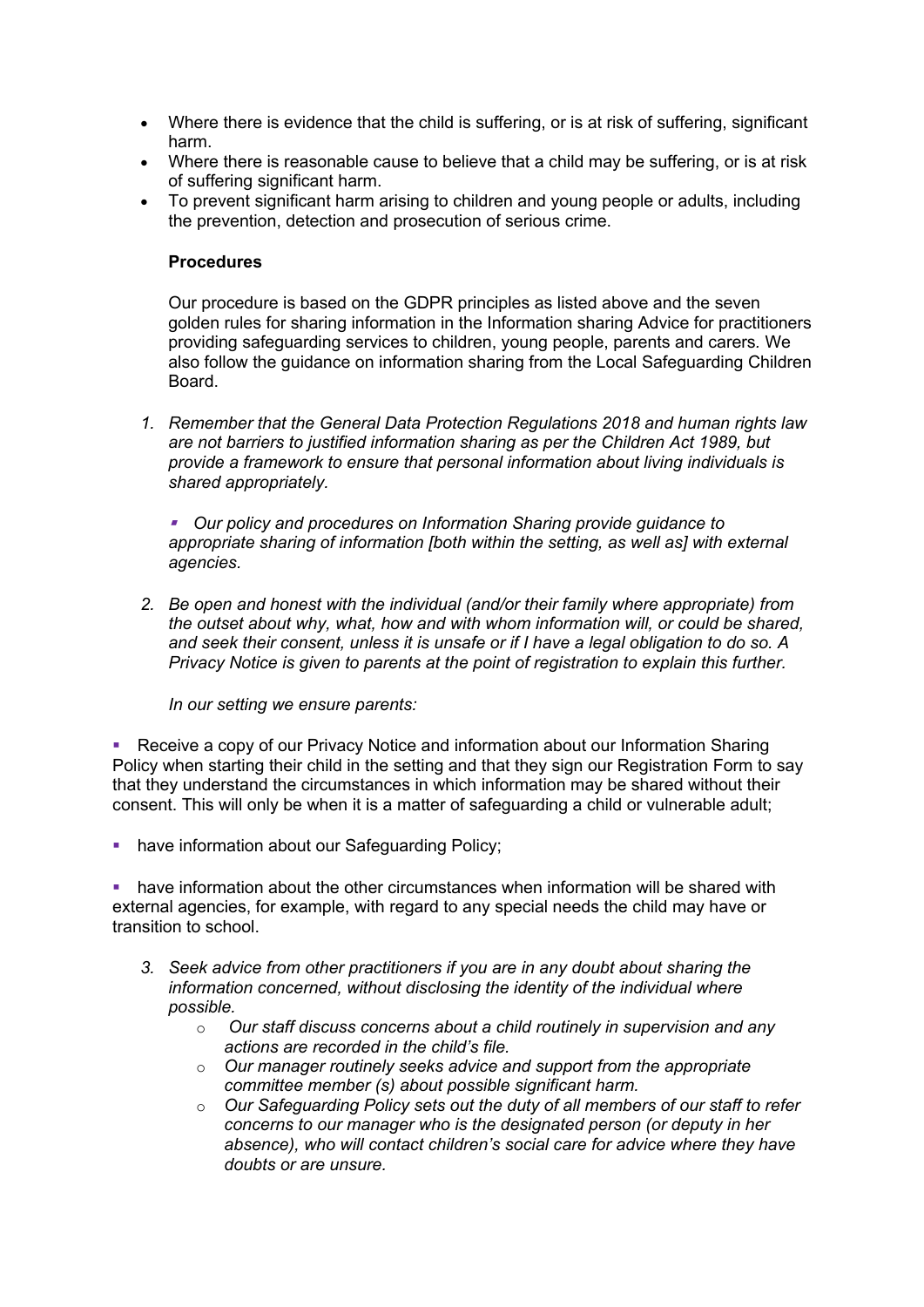- Where there is evidence that the child is suffering, or is at risk of suffering, significant harm.
- Where there is reasonable cause to believe that a child may be suffering, or is at risk of suffering significant harm.
- To prevent significant harm arising to children and young people or adults, including the prevention, detection and prosecution of serious crime.

### **Procedures**

Our procedure is based on the GDPR principles as listed above and the seven golden rules for sharing information in the Information sharing Advice for practitioners providing safeguarding services to children, young people, parents and carers*.* We also follow the guidance on information sharing from the Local Safeguarding Children Board.

*1. Remember that the General Data Protection Regulations 2018 and human rights law are not barriers to justified information sharing as per the Children Act 1989, but provide a framework to ensure that personal information about living individuals is shared appropriately.*

■ Our policy and procedures on Information Sharing provide guidance to *appropriate sharing of information [both within the setting, as well as] with external agencies.* 

*2. Be open and honest with the individual (and/or their family where appropriate) from the outset about why, what, how and with whom information will, or could be shared, and seek their consent, unless it is unsafe or if I have a legal obligation to do so. A Privacy Notice is given to parents at the point of registration to explain this further.* 

*In our setting we ensure parents:* 

■ Receive a copy of our Privacy Notice and information about our Information Sharing Policy when starting their child in the setting and that they sign our Registration Form to say that they understand the circumstances in which information may be shared without their consent. This will only be when it is a matter of safeguarding a child or vulnerable adult;

**• have information about our Safeguarding Policy;** 

have information about the other circumstances when information will be shared with external agencies, for example, with regard to any special needs the child may have or transition to school.

- *3. Seek advice from other practitioners if you are in any doubt about sharing the information concerned, without disclosing the identity of the individual where possible.* 
	- o *Our staff discuss concerns about a child routinely in supervision and any actions are recorded in the child's file.*
	- o *Our manager routinely seeks advice and support from the appropriate committee member (s) about possible significant harm.*
	- o *Our Safeguarding Policy sets out the duty of all members of our staff to refer concerns to our manager who is the designated person (or deputy in her absence), who will contact children's social care for advice where they have doubts or are unsure.*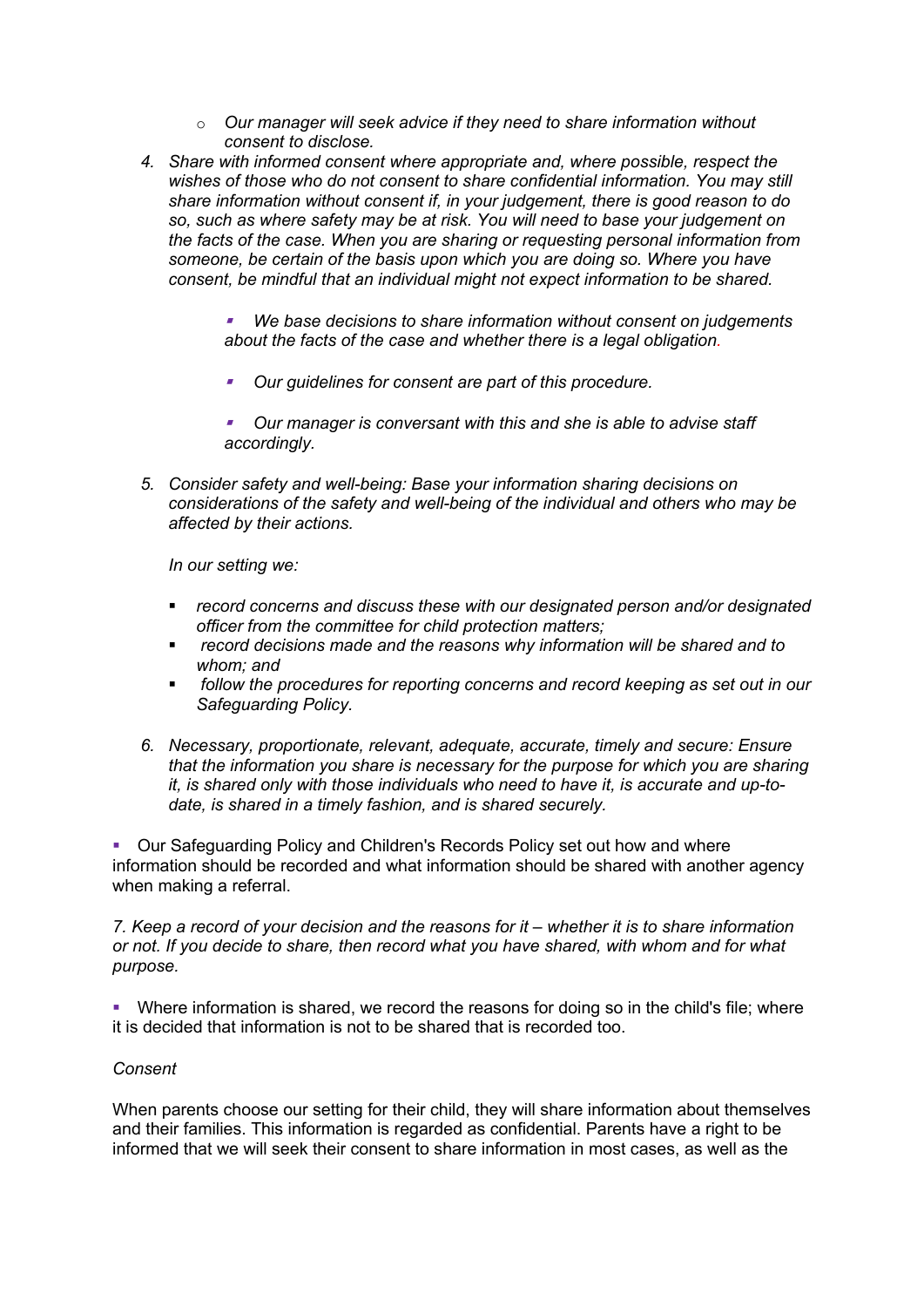- o *Our manager will seek advice if they need to share information without consent to disclose.*
- *4. Share with informed consent where appropriate and, where possible, respect the wishes of those who do not consent to share confidential information. You may still share information without consent if, in your judgement, there is good reason to do so, such as where safety may be at risk. You will need to base your judgement on the facts of the case. When you are sharing or requesting personal information from someone, be certain of the basis upon which you are doing so. Where you have consent, be mindful that an individual might not expect information to be shared.*

§ *We base decisions to share information without consent on judgements about the facts of the case and whether there is a legal obligation.* 

- § *Our guidelines for consent are part of this procedure.*
- § *Our manager is conversant with this and she is able to advise staff accordingly.*
- *5. Consider safety and well-being: Base your information sharing decisions on considerations of the safety and well-being of the individual and others who may be affected by their actions.*

*In our setting we:* 

- § *record concerns and discuss these with our designated person and/or designated officer from the committee for child protection matters;*
- § *record decisions made and the reasons why information will be shared and to whom; and*
- § *follow the procedures for reporting concerns and record keeping as set out in our Safeguarding Policy.*
- *6. Necessary, proportionate, relevant, adequate, accurate, timely and secure: Ensure that the information you share is necessary for the purpose for which you are sharing it, is shared only with those individuals who need to have it, is accurate and up-todate, is shared in a timely fashion, and is shared securely.*

§ Our Safeguarding Policy and Children's Records Policy set out how and where information should be recorded and what information should be shared with another agency when making a referral.

*7. Keep a record of your decision and the reasons for it – whether it is to share information or not. If you decide to share, then record what you have shared, with whom and for what purpose.* 

• Where information is shared, we record the reasons for doing so in the child's file; where it is decided that information is not to be shared that is recorded too.

#### *Consent*

When parents choose our setting for their child, they will share information about themselves and their families. This information is regarded as confidential. Parents have a right to be informed that we will seek their consent to share information in most cases, as well as the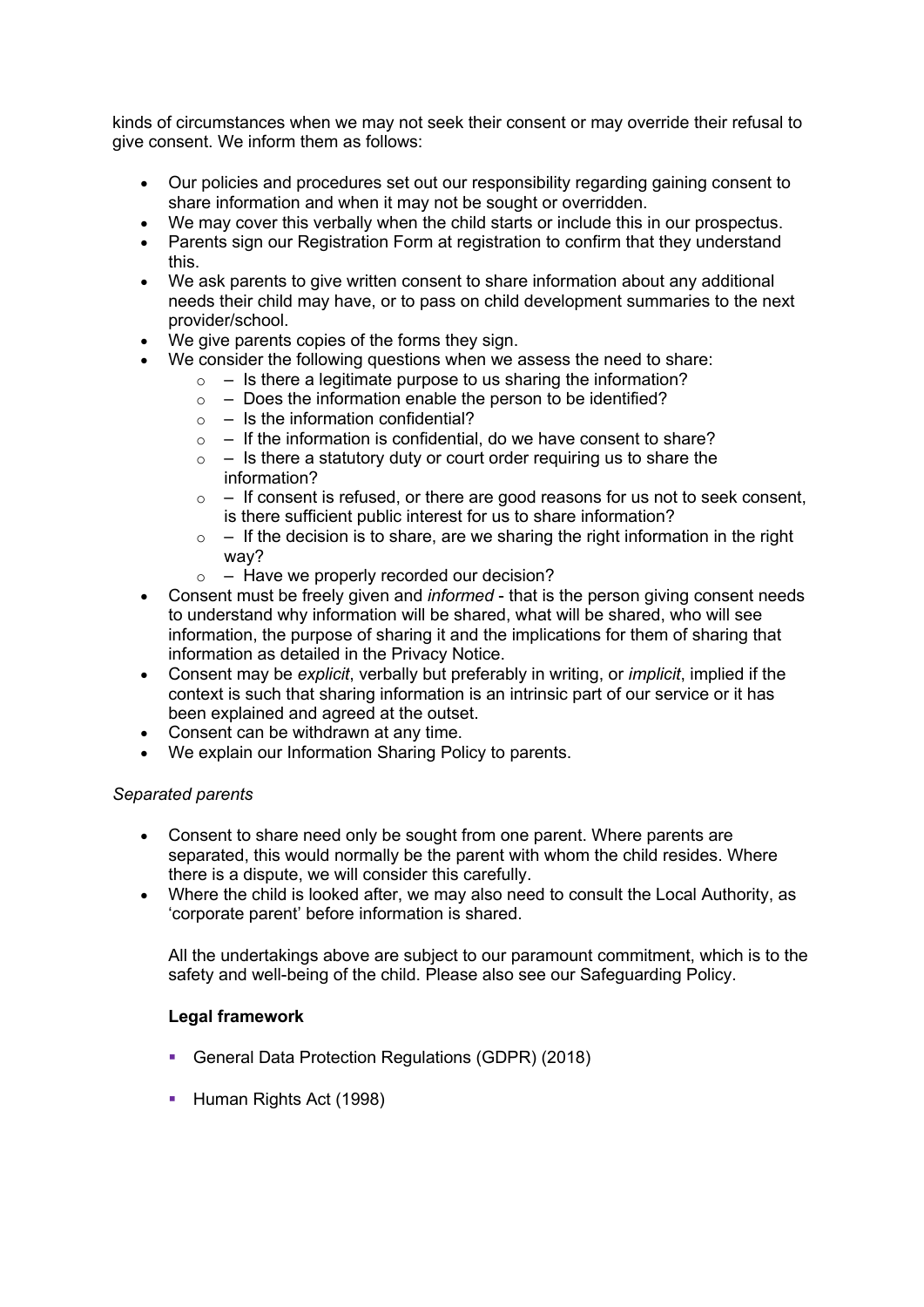kinds of circumstances when we may not seek their consent or may override their refusal to give consent. We inform them as follows:

- Our policies and procedures set out our responsibility regarding gaining consent to share information and when it may not be sought or overridden.
- We may cover this verbally when the child starts or include this in our prospectus.
- Parents sign our Registration Form at registration to confirm that they understand this.
- We ask parents to give written consent to share information about any additional needs their child may have, or to pass on child development summaries to the next provider/school.
- We give parents copies of the forms they sign.
- We consider the following questions when we assess the need to share:
	- $\circ$  Is there a legitimate purpose to us sharing the information?
	- $\circ$  Does the information enable the person to be identified?
	- $\circ$  Is the information confidential?
	- $\circ$  If the information is confidential, do we have consent to share?
	- $\circ$  Is there a statutory duty or court order requiring us to share the information?
	- $\circ$  If consent is refused, or there are good reasons for us not to seek consent, is there sufficient public interest for us to share information?
	- $\circ$  If the decision is to share, are we sharing the right information in the right way?
	- $\circ$  Have we properly recorded our decision?
- Consent must be freely given and *informed*  that is the person giving consent needs to understand why information will be shared, what will be shared, who will see information, the purpose of sharing it and the implications for them of sharing that information as detailed in the Privacy Notice.
- Consent may be *explicit*, verbally but preferably in writing, or *implicit*, implied if the context is such that sharing information is an intrinsic part of our service or it has been explained and agreed at the outset.
- Consent can be withdrawn at any time.
- We explain our Information Sharing Policy to parents.

## *Separated parents*

- Consent to share need only be sought from one parent. Where parents are separated, this would normally be the parent with whom the child resides. Where there is a dispute, we will consider this carefully.
- Where the child is looked after, we may also need to consult the Local Authority, as 'corporate parent' before information is shared.

All the undertakings above are subject to our paramount commitment, which is to the safety and well-being of the child. Please also see our Safeguarding Policy.

## **Legal framework**

- § General Data Protection Regulations (GDPR) (2018)
- Human Rights Act (1998)